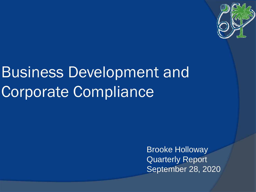

# Business Development and Corporate Compliance

Brooke Holloway Quarterly Report September 28, 2020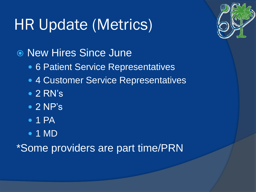# HR Update (Metrics)



● New Hires Since June

- 6 Patient Service Representatives
- **4 Customer Service Representatives**
- 2 RN's
- $\bullet$  2 NP's
- $\bullet$  1 PA
- 1 MD

\*Some providers are part time/PRN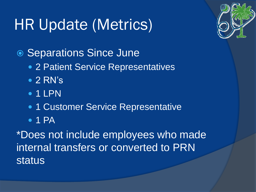# HR Update (Metrics)



● Separations Since June

- 2 Patient Service Representatives
- 2 RN's
- $\bullet$  1 LPN
- 1 Customer Service Representative
- $\bullet$  1 PA

\*Does not include employees who made internal transfers or converted to PRN status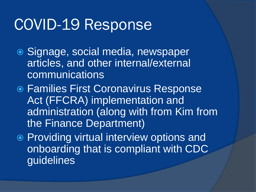#### COVID-19 Response

- Signage, social media, newspaper articles, and other internal/external communications
- **Families First Coronavirus Response** Act (FFCRA) implementation and administration (along with from Kim from the Finance Department)
- Providing virtual interview options and onboarding that is compliant with CDC guidelines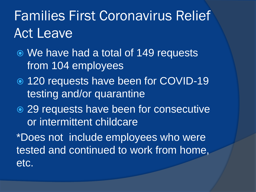#### Families First Coronavirus Relief Act Leave

- We have had a total of 149 requests from 104 employees
- 120 requests have been for COVID-19 testing and/or quarantine
- 29 requests have been for consecutive or intermittent childcare

\*Does not include employees who were tested and continued to work from home, etc.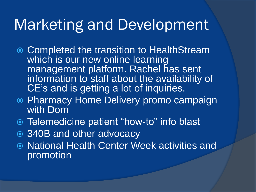#### Marketing and Development

- **Completed the transition to HealthStream** which is our new online learning management platform. Rachel has sent information to staff about the availability of CE's and is getting a lot of inquiries.
- **Pharmacy Home Delivery promo campaign** with Dom
- Telemedicine patient "how-to" info blast
- 340B and other advocacy
- National Health Center Week activities and promotion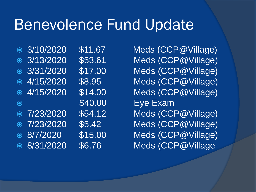#### Benevolence Fund Update

- 
- 
- 
- 
- 
- 
- 
- 
- 
- 

 3/10/2020 \$11.67 Meds (CCP@Village) 3/13/2020 \$53.61 Meds (CCP@Village) 3/31/2020 \$17.00 Meds (CCP@Village) 4/15/2020 \$8.95 Meds (CCP@Village) 4/15/2020 \$14.00 Meds (CCP@Village) • \$40.00 Eye Exam 7/23/2020 \$54.12 Meds (CCP@Village) 7/23/2020 \$5.42 Meds (CCP@Village) 8/7/2020 \$15.00 Meds (CCP@Village) 8/31/2020 \$6.76 Meds (CCP@Village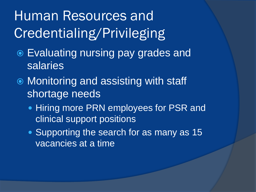### Human Resources and Credentialing/Privileging

- Evaluating nursing pay grades and salaries
- Monitoring and assisting with staff shortage needs
	- Hiring more PRN employees for PSR and clinical support positions
	- Supporting the search for as many as 15 vacancies at a time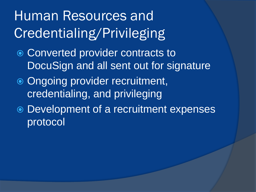### Human Resources and Credentialing/Privileging

- Converted provider contracts to DocuSign and all sent out for signature
- Ongoing provider recruitment, credentialing, and privileging
- Development of a recruitment expenses protocol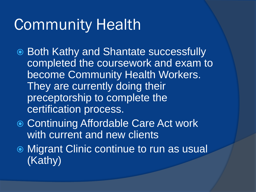### Community Health

- Both Kathy and Shantate successfully completed the coursework and exam to become Community Health Workers. They are currently doing their preceptorship to complete the certification process.
- **◎ Continuing Affordable Care Act work** with current and new clients
- Migrant Clinic continue to run as usual (Kathy)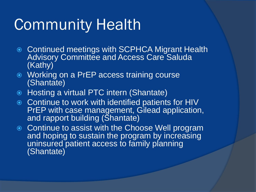## Community Health

- Continued meetings with SCPHCA Migrant Health Advisory Committee and Access Care Saluda (Kathy)
- Working on a PrEP access training course (Shantate)
- Hosting a virtual PTC intern (Shantate)
- **EXECONTER CONTER IN CONTREX IN A CONTER** CONTROLLEY CONTINUE to work with identified patients for HIV PrEP with case management, Gilead application, and rapport building (Shantate)
- **Continue to assist with the Choose Well program** and hoping to sustain the program by increasing uninsured patient access to family planning (Shantate)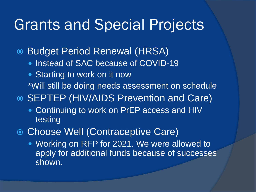#### Grants and Special Projects

- Budget Period Renewal (HRSA)
	- **Instead of SAC because of COVID-19**
	- Starting to work on it now
		- \*Will still be doing needs assessment on schedule

SEPTEP (HIV/AIDS Prevention and Care)

- Continuing to work on PrEP access and HIV testing
- Choose Well (Contraceptive Care)
	- Working on RFP for 2021. We were allowed to apply for additional funds because of successes shown.